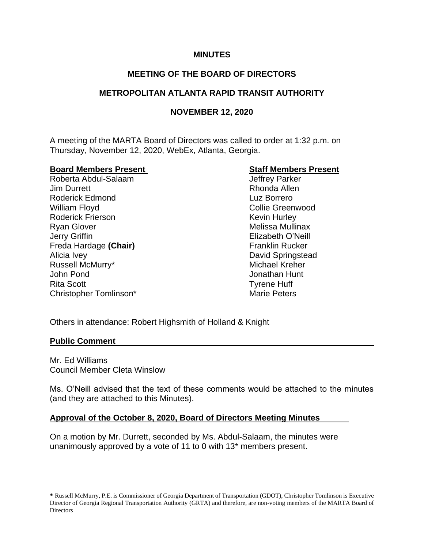## **MINUTES**

# **MEETING OF THE BOARD OF DIRECTORS**

# **METROPOLITAN ATLANTA RAPID TRANSIT AUTHORITY**

# **NOVEMBER 12, 2020**

A meeting of the MARTA Board of Directors was called to order at 1:32 p.m. on Thursday, November 12, 2020, WebEx, Atlanta, Georgia.

#### **Board Members Present Staff Members Present**

Roberta Abdul-Salaam Jeffrey Parker Jim Durrett Rhonda Allen Roderick Edmond Luz Borrero William Floyd **Collie Greenwood** Collie Greenwood Roderick Frierson **Kevin Hurley** Ryan Glover **Melissa Mullinax** Melissa Mullinax Jerry Griffin Elizabeth O'Neill Freda Hardage (Chair) **Franklin Rucker** Franklin Rucker Alicia Ivey David Springstead Russell McMurry\* The Communication of the Michael Kreher John Pond Jonathan Hunt Rita Scott Tyrene Huff Christopher Tomlinson\* Marie Peters

Others in attendance: Robert Highsmith of Holland & Knight

#### **Public Comment**

Mr. Ed Williams Council Member Cleta Winslow

Ms. O'Neill advised that the text of these comments would be attached to the minutes (and they are attached to this Minutes).

## **Approval of the October 8, 2020, Board of Directors Meeting Minutes**

On a motion by Mr. Durrett, seconded by Ms. Abdul-Salaam, the minutes were unanimously approved by a vote of 11 to 0 with 13\* members present.

**<sup>\*</sup>** Russell McMurry, P.E. is Commissioner of Georgia Department of Transportation (GDOT), Christopher Tomlinson is Executive Director of Georgia Regional Transportation Authority (GRTA) and therefore, are non-voting members of the MARTA Board of **Directors**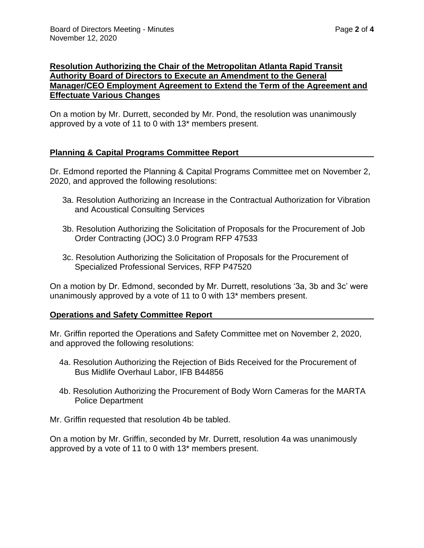## **Resolution Authorizing the Chair of the Metropolitan Atlanta Rapid Transit Authority Board of Directors to Execute an Amendment to the General Manager/CEO Employment Agreement to Extend the Term of the Agreement and Effectuate Various Changes**

On a motion by Mr. Durrett, seconded by Mr. Pond, the resolution was unanimously approved by a vote of 11 to 0 with 13\* members present.

## **Planning & Capital Programs Committee Report**

Dr. Edmond reported the Planning & Capital Programs Committee met on November 2, 2020, and approved the following resolutions:

- 3a. Resolution Authorizing an Increase in the Contractual Authorization for Vibration and Acoustical Consulting Services
- 3b. Resolution Authorizing the Solicitation of Proposals for the Procurement of Job Order Contracting (JOC) 3.0 Program RFP 47533
- 3c. Resolution Authorizing the Solicitation of Proposals for the Procurement of Specialized Professional Services, RFP P47520

On a motion by Dr. Edmond, seconded by Mr. Durrett, resolutions '3a, 3b and 3c' were unanimously approved by a vote of 11 to 0 with 13\* members present.

## **Operations and Safety Committee Report**

Mr. Griffin reported the Operations and Safety Committee met on November 2, 2020, and approved the following resolutions:

- 4a. Resolution Authorizing the Rejection of Bids Received for the Procurement of Bus Midlife Overhaul Labor, IFB B44856
- 4b. Resolution Authorizing the Procurement of Body Worn Cameras for the MARTA Police Department

Mr. Griffin requested that resolution 4b be tabled.

On a motion by Mr. Griffin, seconded by Mr. Durrett, resolution 4a was unanimously approved by a vote of 11 to 0 with 13\* members present.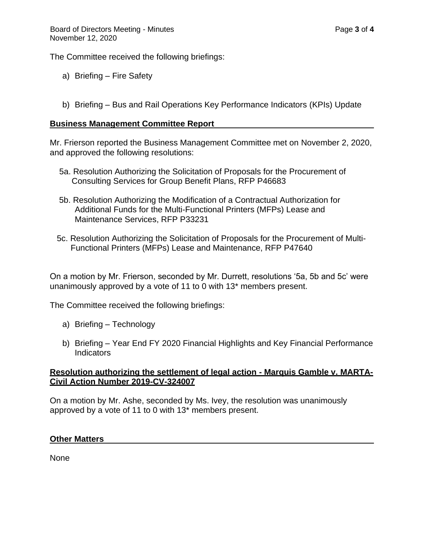The Committee received the following briefings:

- a) Briefing Fire Safety
- b) Briefing Bus and Rail Operations Key Performance Indicators (KPIs) Update

#### **Business Management Committee Report**

Mr. Frierson reported the Business Management Committee met on November 2, 2020, and approved the following resolutions:

- 5a. Resolution Authorizing the Solicitation of Proposals for the Procurement of Consulting Services for Group Benefit Plans, RFP P46683
- 5b. Resolution Authorizing the Modification of a Contractual Authorization for Additional Funds for the Multi-Functional Printers (MFPs) Lease and Maintenance Services, RFP P33231
- 5c. Resolution Authorizing the Solicitation of Proposals for the Procurement of Multi- Functional Printers (MFPs) Lease and Maintenance, RFP P47640

On a motion by Mr. Frierson, seconded by Mr. Durrett, resolutions '5a, 5b and 5c' were unanimously approved by a vote of 11 to 0 with 13\* members present.

The Committee received the following briefings:

- a) Briefing Technology
- b) Briefing Year End FY 2020 Financial Highlights and Key Financial Performance Indicators

#### **Resolution authorizing the settlement of legal action - Marquis Gamble v. MARTA-Civil Action Number 2019-CV-324007**

On a motion by Mr. Ashe, seconded by Ms. Ivey, the resolution was unanimously approved by a vote of 11 to 0 with 13\* members present.

#### **Other Matters**

None